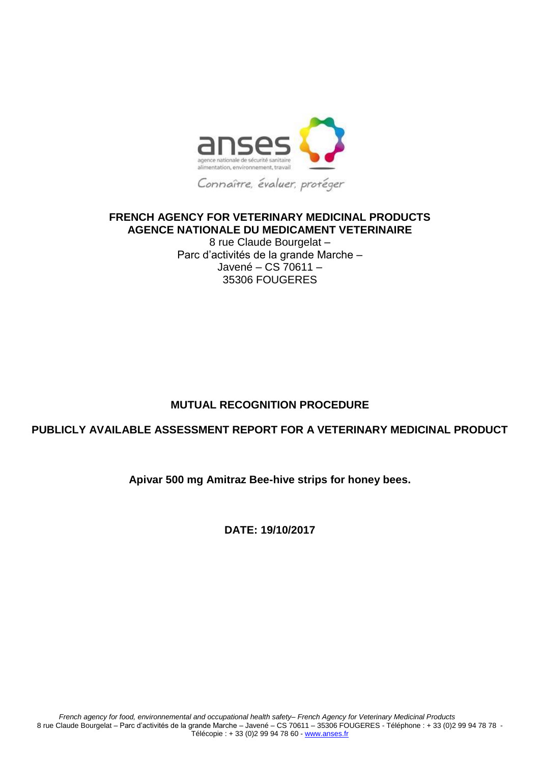

## **FRENCH AGENCY FOR VETERINARY MEDICINAL PRODUCTS AGENCE NATIONALE DU MEDICAMENT VETERINAIRE**

8 rue Claude Bourgelat – Parc d'activités de la grande Marche – Javené – CS 70611 – 35306 FOUGERES

# **MUTUAL RECOGNITION PROCEDURE**

## **PUBLICLY AVAILABLE ASSESSMENT REPORT FOR A VETERINARY MEDICINAL PRODUCT**

## **Apivar 500 mg Amitraz Bee-hive strips for honey bees.**

**DATE: 19/10/2017**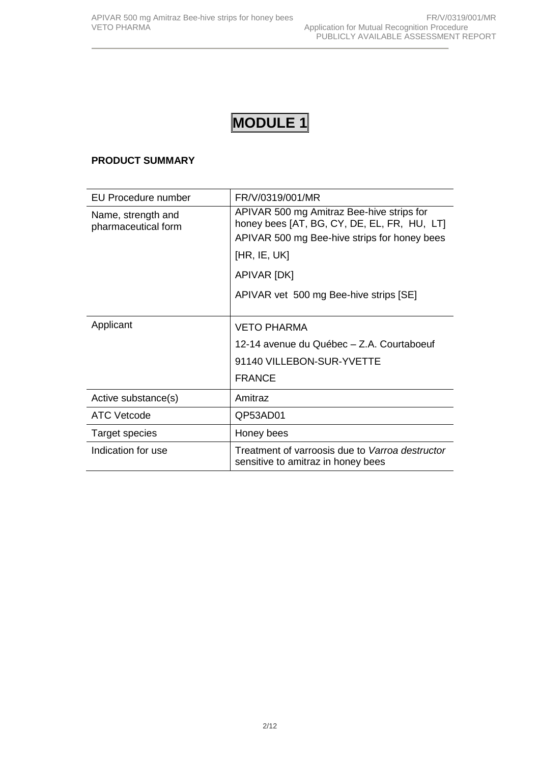## **PRODUCT SUMMARY**

| EU Procedure number                       | FR/V/0319/001/MR                                                                                                                         |  |  |  |
|-------------------------------------------|------------------------------------------------------------------------------------------------------------------------------------------|--|--|--|
| Name, strength and<br>pharmaceutical form | APIVAR 500 mg Amitraz Bee-hive strips for<br>honey bees [AT, BG, CY, DE, EL, FR, HU, LT]<br>APIVAR 500 mg Bee-hive strips for honey bees |  |  |  |
|                                           | [HR, IE, UK]                                                                                                                             |  |  |  |
|                                           | APIVAR [DK]                                                                                                                              |  |  |  |
|                                           | APIVAR vet 500 mg Bee-hive strips [SE]                                                                                                   |  |  |  |
| Applicant                                 | <b>VETO PHARMA</b>                                                                                                                       |  |  |  |
|                                           | 12-14 avenue du Québec - Z.A. Courtaboeuf                                                                                                |  |  |  |
|                                           | 91140 VILLEBON-SUR-YVETTE                                                                                                                |  |  |  |
|                                           | <b>FRANCE</b>                                                                                                                            |  |  |  |
| Active substance(s)                       | Amitraz                                                                                                                                  |  |  |  |
| ATC Vetcode                               | QP53AD01                                                                                                                                 |  |  |  |
| Target species                            | Honey bees                                                                                                                               |  |  |  |
| Indication for use                        | Treatment of varroosis due to Varroa destructor<br>sensitive to amitraz in honey bees                                                    |  |  |  |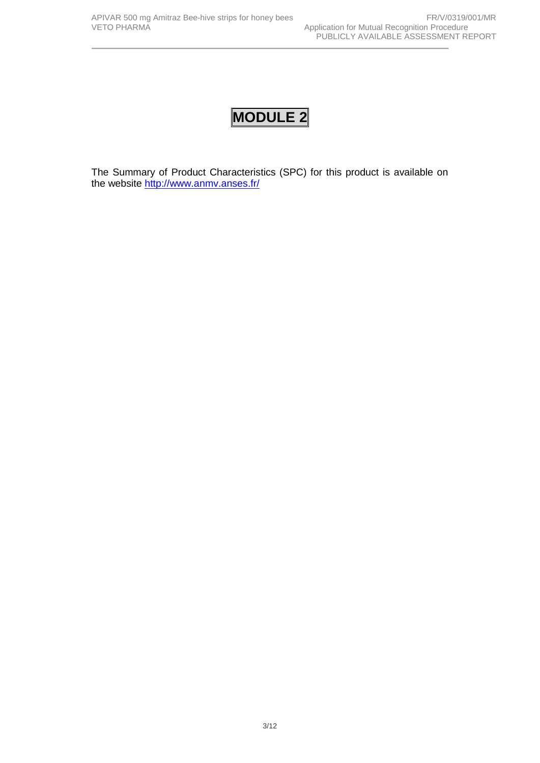The Summary of Product Characteristics (SPC) for this product is available on the website <http://www.anmv.anses.fr/>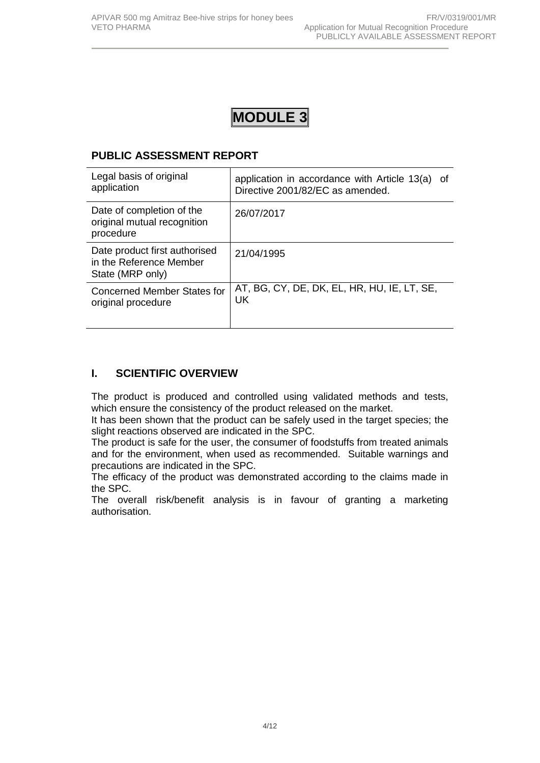# **PUBLIC ASSESSMENT REPORT**

| Legal basis of original                                                      | application in accordance with Article 13(a) of |
|------------------------------------------------------------------------------|-------------------------------------------------|
| application                                                                  | Directive 2001/82/EC as amended.                |
| Date of completion of the<br>original mutual recognition<br>procedure        | 26/07/2017                                      |
| Date product first authorised<br>in the Reference Member<br>State (MRP only) | 21/04/1995                                      |
| <b>Concerned Member States for</b>                                           | AT, BG, CY, DE, DK, EL, HR, HU, IE, LT, SE,     |
| original procedure                                                           | UK.                                             |

## **I. SCIENTIFIC OVERVIEW**

The product is produced and controlled using validated methods and tests, which ensure the consistency of the product released on the market.

It has been shown that the product can be safely used in the target species; the slight reactions observed are indicated in the SPC.

The product is safe for the user, the consumer of foodstuffs from treated animals and for the environment, when used as recommended. Suitable warnings and precautions are indicated in the SPC.

The efficacy of the product was demonstrated according to the claims made in the SPC.

The overall risk/benefit analysis is in favour of granting a marketing authorisation.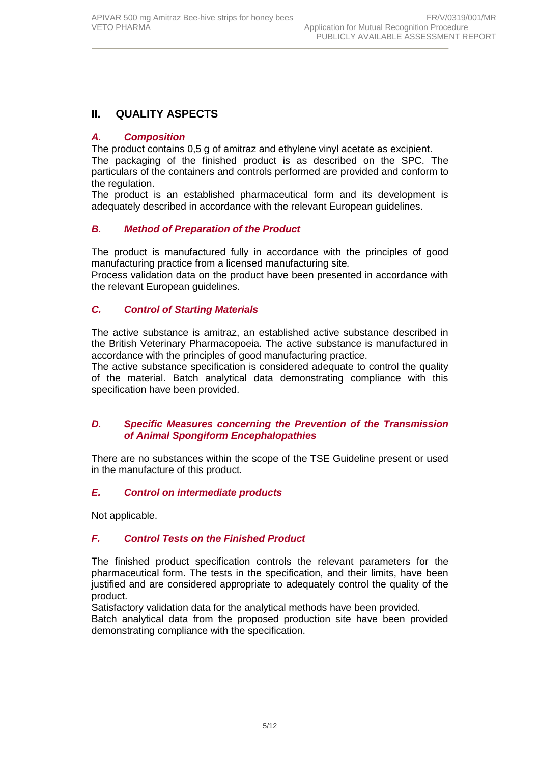# **II. QUALITY ASPECTS**

## *A. Composition*

The product contains 0,5 g of amitraz and ethylene vinyl acetate as excipient. The packaging of the finished product is as described on the SPC. The particulars of the containers and controls performed are provided and conform to the regulation.

The product is an established pharmaceutical form and its development is adequately described in accordance with the relevant European guidelines.

## *B. Method of Preparation of the Product*

The product is manufactured fully in accordance with the principles of good manufacturing practice from a licensed manufacturing site*.*

Process validation data on the product have been presented in accordance with the relevant European guidelines.

## *C. Control of Starting Materials*

The active substance is amitraz, an established active substance described in the British Veterinary Pharmacopoeia. The active substance is manufactured in accordance with the principles of good manufacturing practice.

The active substance specification is considered adequate to control the quality of the material. Batch analytical data demonstrating compliance with this specification have been provided.

#### *D. Specific Measures concerning the Prevention of the Transmission of Animal Spongiform Encephalopathies*

There are no substances within the scope of the TSE Guideline present or used in the manufacture of this product*.*

## *E. Control on intermediate products*

Not applicable.

## *F. Control Tests on the Finished Product*

The finished product specification controls the relevant parameters for the pharmaceutical form. The tests in the specification, and their limits, have been justified and are considered appropriate to adequately control the quality of the product.

Satisfactory validation data for the analytical methods have been provided.

Batch analytical data from the proposed production site have been provided demonstrating compliance with the specification.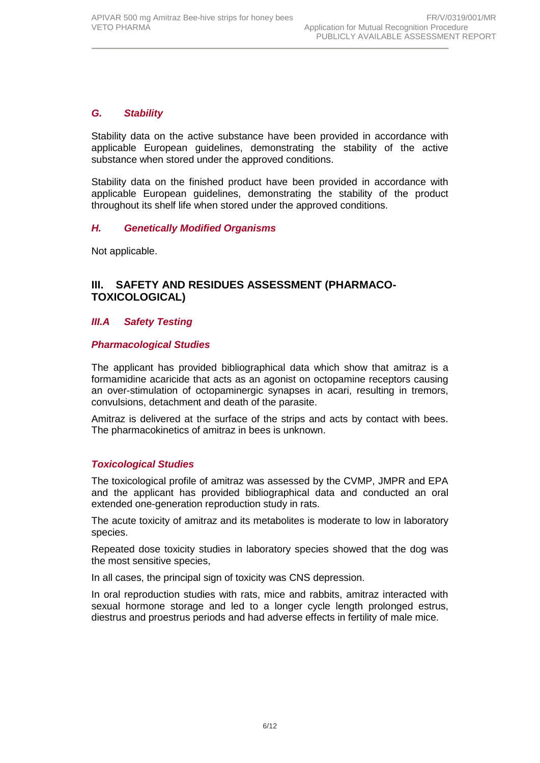### *G. Stability*

Stability data on the active substance have been provided in accordance with applicable European guidelines, demonstrating the stability of the active substance when stored under the approved conditions.

Stability data on the finished product have been provided in accordance with applicable European guidelines, demonstrating the stability of the product throughout its shelf life when stored under the approved conditions.

#### *H. Genetically Modified Organisms*

Not applicable.

## **III. SAFETY AND RESIDUES ASSESSMENT (PHARMACO-TOXICOLOGICAL)**

#### *III.A Safety Testing*

#### *Pharmacological Studies*

The applicant has provided bibliographical data which show that amitraz is a formamidine acaricide that acts as an agonist on octopamine receptors causing an over-stimulation of octopaminergic synapses in acari, resulting in tremors, convulsions, detachment and death of the parasite.

Amitraz is delivered at the surface of the strips and acts by contact with bees. The pharmacokinetics of amitraz in bees is unknown.

#### *Toxicological Studies*

The toxicological profile of amitraz was assessed by the CVMP, JMPR and EPA and the applicant has provided bibliographical data and conducted an oral extended one-generation reproduction study in rats.

The acute toxicity of amitraz and its metabolites is moderate to low in laboratory species.

Repeated dose toxicity studies in laboratory species showed that the dog was the most sensitive species,

In all cases, the principal sign of toxicity was CNS depression.

In oral reproduction studies with rats, mice and rabbits, amitraz interacted with sexual hormone storage and led to a longer cycle length prolonged estrus, diestrus and proestrus periods and had adverse effects in fertility of male mice.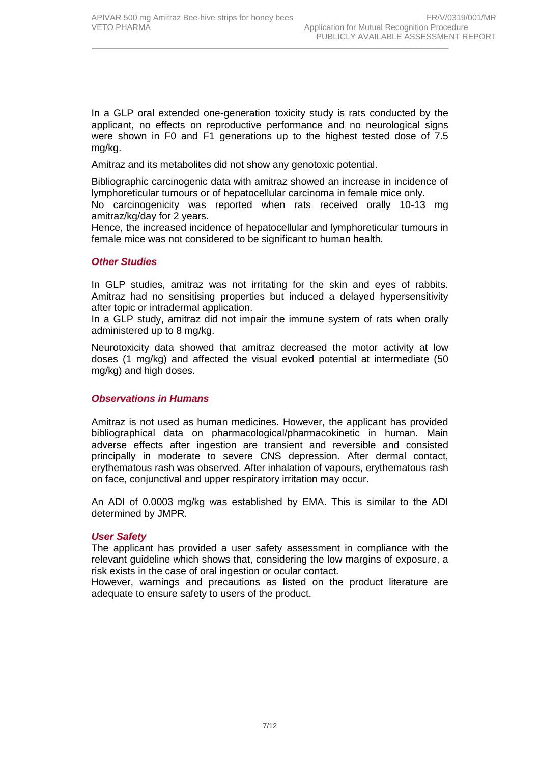In a GLP oral extended one-generation toxicity study is rats conducted by the applicant, no effects on reproductive performance and no neurological signs were shown in F0 and F1 generations up to the highest tested dose of 7.5 mg/kg.

Amitraz and its metabolites did not show any genotoxic potential.

Bibliographic carcinogenic data with amitraz showed an increase in incidence of lymphoreticular tumours or of hepatocellular carcinoma in female mice only.

No carcinogenicity was reported when rats received orally 10-13 mg amitraz/kg/day for 2 years.

Hence, the increased incidence of hepatocellular and lymphoreticular tumours in female mice was not considered to be significant to human health.

#### *Other Studies*

In GLP studies, amitraz was not irritating for the skin and eyes of rabbits. Amitraz had no sensitising properties but induced a delayed hypersensitivity after topic or intradermal application.

In a GLP study, amitraz did not impair the immune system of rats when orally administered up to 8 mg/kg.

Neurotoxicity data showed that amitraz decreased the motor activity at low doses (1 mg/kg) and affected the visual evoked potential at intermediate (50 mg/kg) and high doses.

#### *Observations in Humans*

Amitraz is not used as human medicines. However, the applicant has provided bibliographical data on pharmacological/pharmacokinetic in human. Main adverse effects after ingestion are transient and reversible and consisted principally in moderate to severe CNS depression. After dermal contact, erythematous rash was observed. After inhalation of vapours, erythematous rash on face, conjunctival and upper respiratory irritation may occur.

An ADI of 0.0003 mg/kg was established by EMA. This is similar to the ADI determined by JMPR.

#### *User Safety*

The applicant has provided a user safety assessment in compliance with the relevant guideline which shows that, considering the low margins of exposure, a risk exists in the case of oral ingestion or ocular contact.

However, warnings and precautions as listed on the product literature are adequate to ensure safety to users of the product.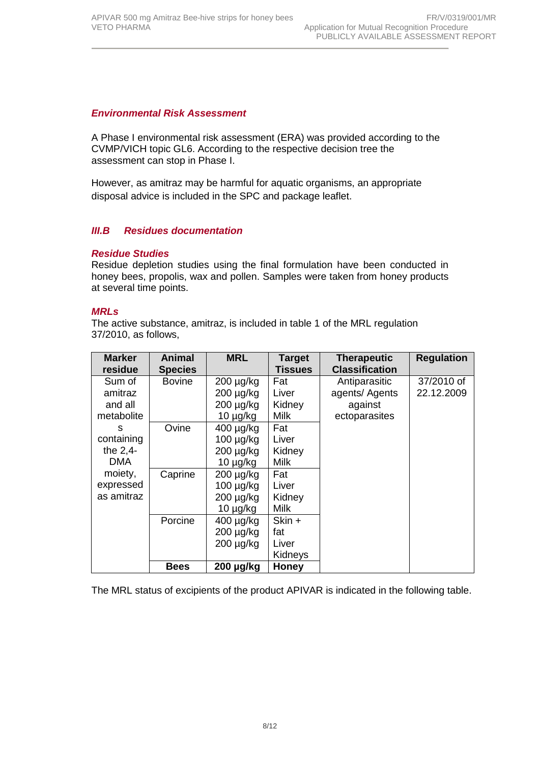#### *Environmental Risk Assessment*

A Phase I environmental risk assessment (ERA) was provided according to the CVMP/VICH topic GL6. According to the respective decision tree the assessment can stop in Phase I.

However, as amitraz may be harmful for aquatic organisms, an appropriate disposal advice is included in the SPC and package leaflet.

#### *III.B Residues documentation*

#### *Residue Studies*

Residue depletion studies using the final formulation have been conducted in honey bees, propolis, wax and pollen. Samples were taken from honey products at several time points.

#### *MRLs*

The active substance, amitraz, is included in table 1 of the MRL regulation 37/2010, as follows,

| <b>Marker</b><br>residue | Animal<br><b>Species</b> | <b>MRL</b>     | <b>Target</b><br>Tissues | <b>Therapeutic</b><br><b>Classification</b> | <b>Regulation</b> |
|--------------------------|--------------------------|----------------|--------------------------|---------------------------------------------|-------------------|
| Sum of                   | <b>Bovine</b>            | $200 \mu g/kg$ | Fat                      | Antiparasitic                               | 37/2010 of        |
| amitraz                  |                          | $200 \mu g/kg$ | Liver                    | agents/ Agents                              | 22.12.2009        |
| and all                  |                          | $200 \mu g/kg$ | Kidney                   | against                                     |                   |
| metabolite               |                          | $10 \mu g/kg$  | <b>Milk</b>              | ectoparasites                               |                   |
| S                        | Ovine                    | $400 \mu g/kg$ | Fat                      |                                             |                   |
| containing               |                          | 100 µg/kg      | Liver                    |                                             |                   |
| the 2,4-                 |                          | $200 \mu g/kg$ | Kidney                   |                                             |                   |
| <b>DMA</b>               |                          | $10 \mu g/kg$  | <b>Milk</b>              |                                             |                   |
| moiety,                  | Caprine                  | $200 \mu g/kg$ | Fat                      |                                             |                   |
| expressed                |                          | $100 \mu g/kg$ | Liver                    |                                             |                   |
| as amitraz               |                          | $200 \mu g/kg$ | Kidney                   |                                             |                   |
|                          |                          | $10 \mu g/kg$  | <b>Milk</b>              |                                             |                   |
|                          | Porcine                  | $400 \mu g/kg$ | Skin +                   |                                             |                   |
|                          |                          | $200 \mu g/kg$ | fat                      |                                             |                   |
|                          |                          | $200 \mu g/kg$ | Liver                    |                                             |                   |
|                          |                          |                | Kidneys                  |                                             |                   |
|                          | <b>Bees</b>              | $200 \mu g/kg$ | <b>Honey</b>             |                                             |                   |

The MRL status of excipients of the product APIVAR is indicated in the following table.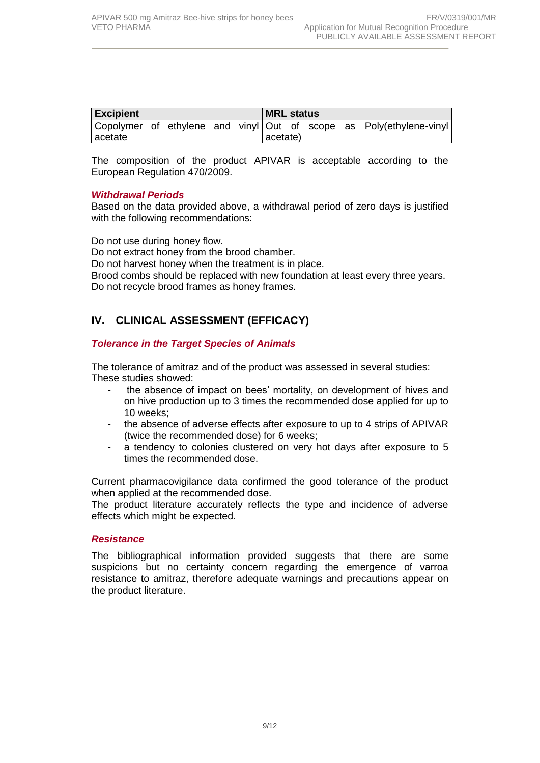| <b>Excipient</b> |  |  |  | <b>MRL status</b> |          |  |  |  |                                                                     |
|------------------|--|--|--|-------------------|----------|--|--|--|---------------------------------------------------------------------|
|                  |  |  |  |                   |          |  |  |  | Copolymer of ethylene and vinyl Out of scope as Poly(ethylene-vinyl |
| lacetate         |  |  |  |                   | acetate) |  |  |  |                                                                     |

The composition of the product APIVAR is acceptable according to the European Regulation 470/2009.

#### *Withdrawal Periods*

Based on the data provided above, a withdrawal period of zero days is justified with the following recommendations:

Do not use during honey flow. Do not extract honey from the brood chamber. Do not harvest honey when the treatment is in place. Brood combs should be replaced with new foundation at least every three years. Do not recycle brood frames as honey frames.

# **IV. CLINICAL ASSESSMENT (EFFICACY)**

## *Tolerance in the Target Species of Animals*

The tolerance of amitraz and of the product was assessed in several studies: These studies showed:

- the absence of impact on bees' mortality, on development of hives and on hive production up to 3 times the recommended dose applied for up to 10 weeks;
- the absence of adverse effects after exposure to up to 4 strips of APIVAR (twice the recommended dose) for 6 weeks;
- a tendency to colonies clustered on very hot days after exposure to 5 times the recommended dose.

Current pharmacovigilance data confirmed the good tolerance of the product when applied at the recommended dose.

The product literature accurately reflects the type and incidence of adverse effects which might be expected.

## *Resistance*

The bibliographical information provided suggests that there are some suspicions but no certainty concern regarding the emergence of varroa resistance to amitraz, therefore adequate warnings and precautions appear on the product literature.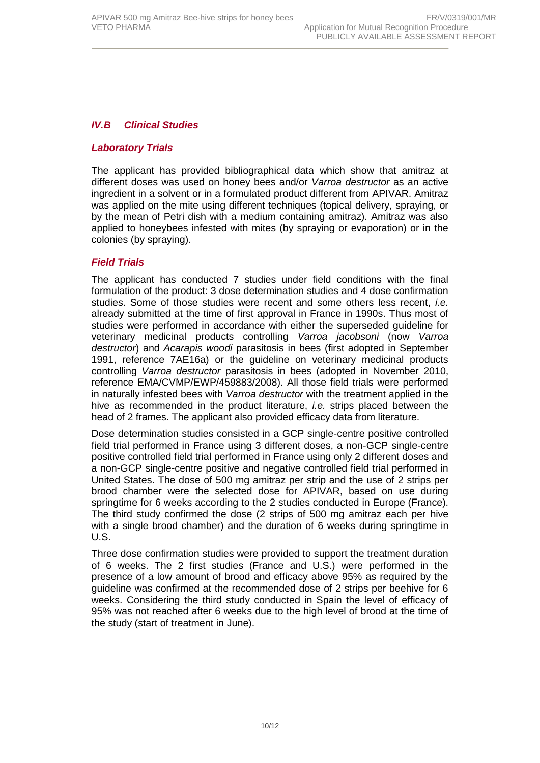#### *IV.B Clinical Studies*

#### *Laboratory Trials*

The applicant has provided bibliographical data which show that amitraz at different doses was used on honey bees and/or *Varroa destructor* as an active ingredient in a solvent or in a formulated product different from APIVAR. Amitraz was applied on the mite using different techniques (topical delivery, spraying, or by the mean of Petri dish with a medium containing amitraz). Amitraz was also applied to honeybees infested with mites (by spraying or evaporation) or in the colonies (by spraying).

#### *Field Trials*

The applicant has conducted 7 studies under field conditions with the final formulation of the product: 3 dose determination studies and 4 dose confirmation studies. Some of those studies were recent and some others less recent, *i.e.* already submitted at the time of first approval in France in 1990s. Thus most of studies were performed in accordance with either the superseded guideline for veterinary medicinal products controlling *Varroa jacobsoni* (now *Varroa destructor*) and *Acarapis woodi* parasitosis in bees (first adopted in September 1991, reference 7AE16a) or the guideline on veterinary medicinal products controlling *Varroa destructor* parasitosis in bees (adopted in November 2010, reference EMA/CVMP/EWP/459883/2008). All those field trials were performed in naturally infested bees with *Varroa destructor* with the treatment applied in the hive as recommended in the product literature, *i.e.* strips placed between the head of 2 frames. The applicant also provided efficacy data from literature.

Dose determination studies consisted in a GCP single-centre positive controlled field trial performed in France using 3 different doses, a non-GCP single-centre positive controlled field trial performed in France using only 2 different doses and a non-GCP single-centre positive and negative controlled field trial performed in United States. The dose of 500 mg amitraz per strip and the use of 2 strips per brood chamber were the selected dose for APIVAR, based on use during springtime for 6 weeks according to the 2 studies conducted in Europe (France). The third study confirmed the dose (2 strips of 500 mg amitraz each per hive with a single brood chamber) and the duration of 6 weeks during springtime in U.S.

Three dose confirmation studies were provided to support the treatment duration of 6 weeks. The 2 first studies (France and U.S.) were performed in the presence of a low amount of brood and efficacy above 95% as required by the guideline was confirmed at the recommended dose of 2 strips per beehive for 6 weeks. Considering the third study conducted in Spain the level of efficacy of 95% was not reached after 6 weeks due to the high level of brood at the time of the study (start of treatment in June).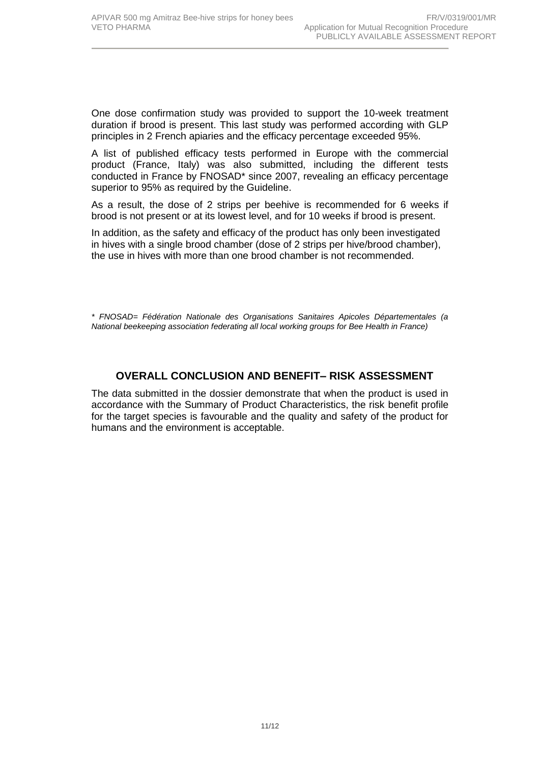One dose confirmation study was provided to support the 10-week treatment duration if brood is present. This last study was performed according with GLP principles in 2 French apiaries and the efficacy percentage exceeded 95%.

A list of published efficacy tests performed in Europe with the commercial product (France, Italy) was also submitted, including the different tests conducted in France by FNOSAD\* since 2007, revealing an efficacy percentage superior to 95% as required by the Guideline.

As a result, the dose of 2 strips per beehive is recommended for 6 weeks if brood is not present or at its lowest level, and for 10 weeks if brood is present.

In addition, as the safety and efficacy of the product has only been investigated in hives with a single brood chamber (dose of 2 strips per hive/brood chamber), the use in hives with more than one brood chamber is not recommended.

*\* FNOSAD= Fédération Nationale des Organisations Sanitaires Apicoles Départementales (a National beekeeping association federating all local working groups for Bee Health in France)* 

## **OVERALL CONCLUSION AND BENEFIT– RISK ASSESSMENT**

The data submitted in the dossier demonstrate that when the product is used in accordance with the Summary of Product Characteristics, the risk benefit profile for the target species is favourable and the quality and safety of the product for humans and the environment is acceptable.